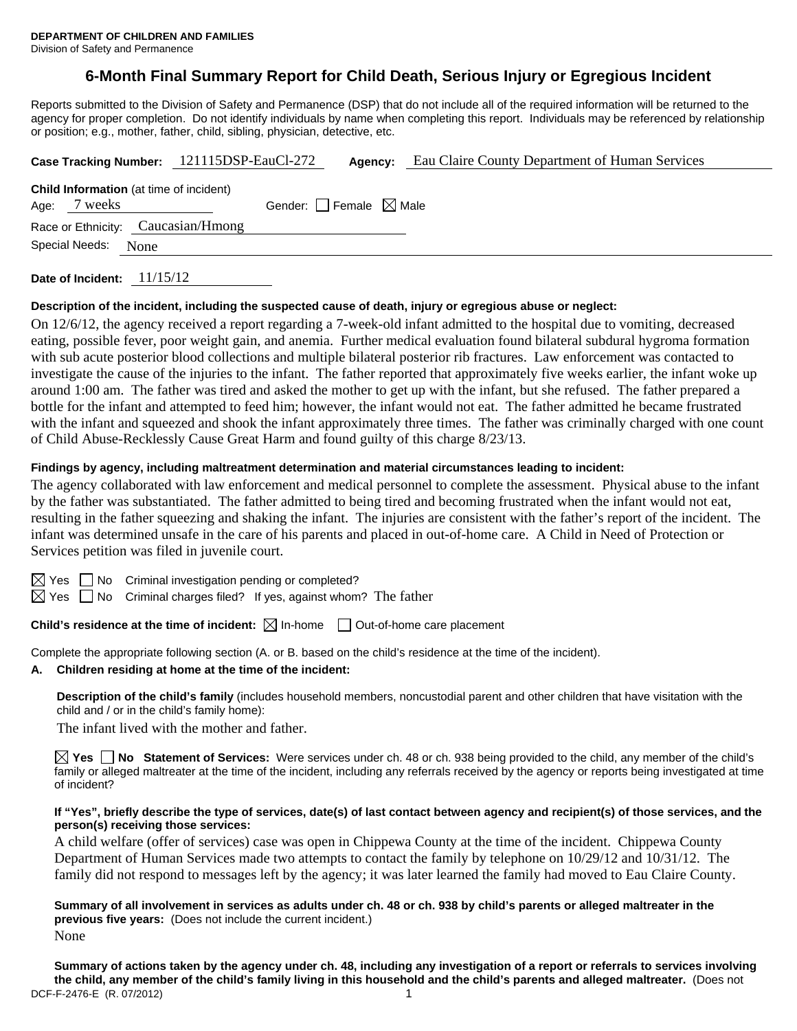# **6-Month Final Summary Report for Child Death, Serious Injury or Egregious Incident**

Reports submitted to the Division of Safety and Permanence (DSP) that do not include all of the required information will be returned to the agency for proper completion. Do not identify individuals by name when completing this report. Individuals may be referenced by relationship or position; e.g., mother, father, child, sibling, physician, detective, etc.

|                        |         |                                                | Case Tracking Number: 121115DSP-EauCl-272 | Agency: | Eau Claire County Department of Human Services |
|------------------------|---------|------------------------------------------------|-------------------------------------------|---------|------------------------------------------------|
| Age:                   | 7 weeks | <b>Child Information</b> (at time of incident) | Gender: Female $\boxtimes$ Male           |         |                                                |
|                        |         | Race or Ethnicity: Caucasian/Hmong             |                                           |         |                                                |
| Special Needs:<br>None |         |                                                |                                           |         |                                                |
|                        |         |                                                |                                           |         |                                                |

**Date of Incident:** 11/15/12

#### **Description of the incident, including the suspected cause of death, injury or egregious abuse or neglect:**

On 12/6/12, the agency received a report regarding a 7-week-old infant admitted to the hospital due to vomiting, decreased eating, possible fever, poor weight gain, and anemia. Further medical evaluation found bilateral subdural hygroma formation with sub acute posterior blood collections and multiple bilateral posterior rib fractures. Law enforcement was contacted to investigate the cause of the injuries to the infant. The father reported that approximately five weeks earlier, the infant woke up around 1:00 am. The father was tired and asked the mother to get up with the infant, but she refused. The father prepared a bottle for the infant and attempted to feed him; however, the infant would not eat. The father admitted he became frustrated with the infant and squeezed and shook the infant approximately three times. The father was criminally charged with one count of Child Abuse-Recklessly Cause Great Harm and found guilty of this charge 8/23/13.

#### **Findings by agency, including maltreatment determination and material circumstances leading to incident:**

The agency collaborated with law enforcement and medical personnel to complete the assessment. Physical abuse to the infant by the father was substantiated. The father admitted to being tired and becoming frustrated when the infant would not eat, resulting in the father squeezing and shaking the infant. The injuries are consistent with the father's report of the incident. The infant was determined unsafe in the care of his parents and placed in out-of-home care. A Child in Need of Protection or Services petition was filed in juvenile court.

 $\boxtimes$  Yes  $\Box$  No Criminal investigation pending or completed?

 $\boxtimes$  Yes  $\Box$  No Criminal charges filed? If yes, against whom? The father

**Child's residence at the time of incident:**  $\boxtimes$  In-home  $\Box$  Out-of-home care placement

Complete the appropriate following section (A. or B. based on the child's residence at the time of the incident).

## **A. Children residing at home at the time of the incident:**

**Description of the child's family** (includes household members, noncustodial parent and other children that have visitation with the child and / or in the child's family home):

The infant lived with the mother and father.

**Yes No Statement of Services:** Were services under ch. 48 or ch. 938 being provided to the child, any member of the child's family or alleged maltreater at the time of the incident, including any referrals received by the agency or reports being investigated at time of incident?

#### **If "Yes", briefly describe the type of services, date(s) of last contact between agency and recipient(s) of those services, and the person(s) receiving those services:**

A child welfare (offer of services) case was open in Chippewa County at the time of the incident. Chippewa County Department of Human Services made two attempts to contact the family by telephone on 10/29/12 and 10/31/12. The family did not respond to messages left by the agency; it was later learned the family had moved to Eau Claire County.

**Summary of all involvement in services as adults under ch. 48 or ch. 938 by child's parents or alleged maltreater in the previous five years:** (Does not include the current incident.) None

DCF-F-2476-E (R. 07/2012) 1 **Summary of actions taken by the agency under ch. 48, including any investigation of a report or referrals to services involving the child, any member of the child's family living in this household and the child's parents and alleged maltreater.** (Does not